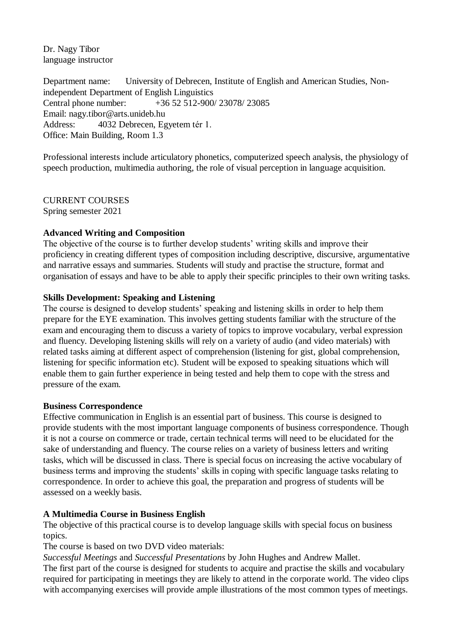Dr. Nagy Tibor language instructor

Department name: University of Debrecen, Institute of English and American Studies, Nonindependent Department of English Linguistics Central phone number: +36 52 512-900/ 23078/ 23085 Email: nagy.tibor@arts.unideb.hu Address: 4032 Debrecen, Egyetem tér 1. Office: Main Building, Room 1.3

Professional interests include articulatory phonetics, computerized speech analysis, the physiology of speech production, multimedia authoring, the role of visual perception in language acquisition.

CURRENT COURSES Spring semester 2021

# **Advanced Writing and Composition**

The objective of the course is to further develop students' writing skills and improve their proficiency in creating different types of composition including descriptive, discursive, argumentative and narrative essays and summaries. Students will study and practise the structure, format and organisation of essays and have to be able to apply their specific principles to their own writing tasks.

# **Skills Development: Speaking and Listening**

The course is designed to develop students' speaking and listening skills in order to help them prepare for the EYE examination. This involves getting students familiar with the structure of the exam and encouraging them to discuss a variety of topics to improve vocabulary, verbal expression and fluency. Developing listening skills will rely on a variety of audio (and video materials) with related tasks aiming at different aspect of comprehension (listening for gist, global comprehension, listening for specific information etc). Student will be exposed to speaking situations which will enable them to gain further experience in being tested and help them to cope with the stress and pressure of the exam.

## **Business Correspondence**

Effective communication in English is an essential part of business. This course is designed to provide students with the most important language components of business correspondence. Though it is not a course on commerce or trade, certain technical terms will need to be elucidated for the sake of understanding and fluency. The course relies on a variety of business letters and writing tasks, which will be discussed in class. There is special focus on increasing the active vocabulary of business terms and improving the students' skills in coping with specific language tasks relating to correspondence. In order to achieve this goal, the preparation and progress of students will be assessed on a weekly basis.

## **A Multimedia Course in Business English**

The objective of this practical course is to develop language skills with special focus on business topics.

The course is based on two DVD video materials:

*Successful Meetings* and *Successful Presentations* by John Hughes and Andrew Mallet.

The first part of the course is designed for students to acquire and practise the skills and vocabulary required for participating in meetings they are likely to attend in the corporate world. The video clips with accompanying exercises will provide ample illustrations of the most common types of meetings.